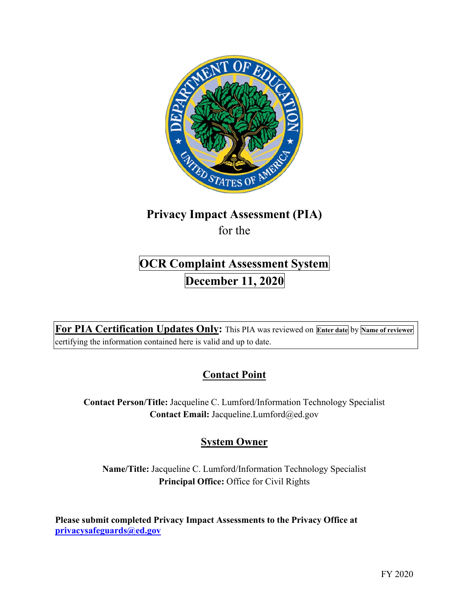

# **Privacy Impact Assessment (PIA)**  for the

# **December 11, 2020 OCR Complaint Assessment System**

 **For PIA Certification Updates Only:** This PIA was reviewed on **Enter date** by **Name of reviewer**  certifying the information contained here is valid and up to date.

## **Contact Point**

 **Contact Person/Title:** Jacqueline C. Lumford/Information Technology Specialist  **Contact Email:** [Jacqueline.Lumford@ed.gov](mailto:Jacqueline.Lumford@ed.gov)

## **System Owner**

 **Name/Title:** Jacqueline C. Lumford/Information Technology Specialist  **Principal Office:** Office for Civil Rights

 **Please submit completed Privacy Impact Assessments to the Privacy Office at [privacysafeguards@ed.gov](mailto:privacysafeguards@ed.gov)**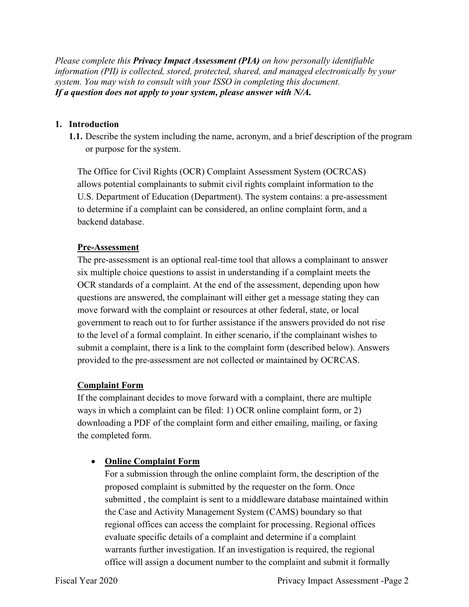*information (PII) is collected, stored, protected, shared, and managed electronically by your system. You may wish to consult with your ISSO in completing this document. If a question does not apply to your system, please answer with N/A. Please complete this Privacy Impact Assessment (PIA) on how personally identifiable* 

#### **1. Introduction**

 **1.1.** Describe the system including the name, acronym, and a brief description of the program or purpose for the system.

The Office for Civil Rights (OCR) Complaint Assessment System (OCRCAS) allows potential complainants to submit civil rights complaint information to the U.S. Department of Education (Department). The system contains: a pre-assessment to determine if a complaint can be considered, an online complaint form, and a backend database.

#### **Pre-Assessment**

 government to reach out to for further assistance if the answers provided do not rise The pre-assessment is an optional real-time tool that allows a complainant to answer six multiple choice questions to assist in understanding if a complaint meets the OCR standards of a complaint. At the end of the assessment, depending upon how questions are answered, the complainant will either get a message stating they can move forward with the complaint or resources at other federal, state, or local to the level of a formal complaint. In either scenario, if the complainant wishes to submit a complaint, there is a link to the complaint form (described below). Answers provided to the pre-assessment are not collected or maintained by OCRCAS.

## **Complaint Form**

 If the complainant decides to move forward with a complaint, there are multiple ways in which a complaint can be filed: 1) OCR online complaint form, or 2) downloading a PDF of the complaint form and either emailing, mailing, or faxing the completed form.

## • **Online Complaint Form**

 For a submission through the online complaint form, the description of the submitted , the complaint is sent to a middleware database maintained within proposed complaint is submitted by the requester on the form. Once the Case and Activity Management System (CAMS) boundary so that regional offices can access the complaint for processing. Regional offices evaluate specific details of a complaint and determine if a complaint warrants further investigation. If an investigation is required, the regional office will assign a document number to the complaint and submit it formally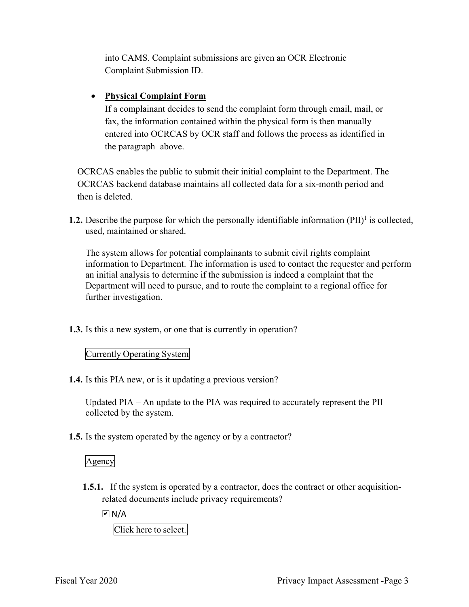into CAMS. Complaint submissions are given an OCR Electronic Complaint Submission ID.

## • **Physical Complaint Form**

 If a complainant decides to send the complaint form through email, mail, or the paragraph above. fax, the information contained within the physical form is then manually entered into OCRCAS by OCR staff and follows the process as identified in

OCRCAS enables the public to submit their initial complaint to the Department. The OCRCAS backend database maintains all collected data for a six-month period and then is deleted.

**1.2.** Describe the purpose for which the personally identifiable information  $(PII)^{1}$  is collected, used, maintained or shared.

 Department will need to pursue, and to route the complaint to a regional office for The system allows for potential complainants to submit civil rights complaint information to Department. The information is used to contact the requester and perform an initial analysis to determine if the submission is indeed a complaint that the further investigation.

**1.3.** Is this a new system, or one that is currently in operation?

Currently Operating System

**1.4.** Is this PIA new, or is it updating a previous version?

 Updated PIA – An update to the PIA was required to accurately represent the PII collected by the system.

**1.5.** Is the system operated by the agency or by a contractor?

Agency

 **1.5.1.** If the system is operated by a contractor, does the contract or other acquisition-related documents include privacy requirements?

 $\overline{M}$  N/A

Click here to select.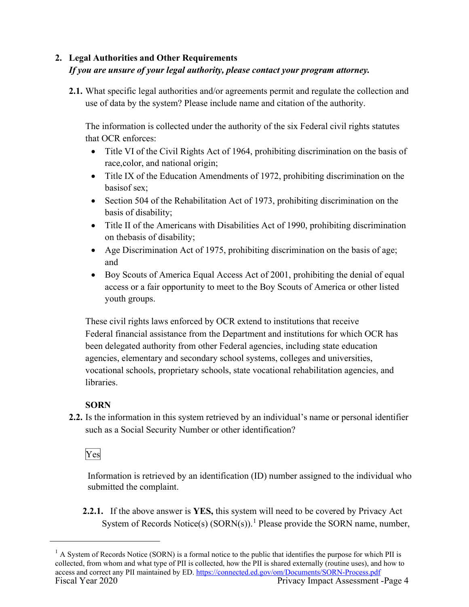## **2. Legal Authorities and Other Requirements**   *If you are unsure of your legal authority, please contact your program attorney.*

 **2.1.** What specific legal authorities and/or agreements permit and regulate the collection and use of data by the system? Please include name and citation of the authority.

The information is collected under the authority of the six Federal civil rights statutes that OCR enforces:

- • Title VI of the Civil Rights Act of 1964, prohibiting discrimination on the basis of race,color, and national origin;
- • Title IX of the Education Amendments of 1972, prohibiting discrimination on the basisof sex;
- Section 504 of the Rehabilitation Act of 1973, prohibiting discrimination on the basis of disability;
- on thebasis of disability; • Title II of the Americans with Disabilities Act of 1990, prohibiting discrimination
- • Age Discrimination Act of 1975, prohibiting discrimination on the basis of age; and
- • Boy Scouts of America Equal Access Act of 2001, prohibiting the denial of equal access or a fair opportunity to meet to the Boy Scouts of America or other listed youth groups.

 These civil rights laws enforced by OCR extend to institutions that receive Federal financial assistance from the Department and institutions for which OCR has been delegated authority from other Federal agencies, including state education agencies, elementary and secondary school systems, colleges and universities, vocational schools, proprietary schools, state vocational rehabilitation agencies, and libraries.

## **SORN**

 **2.2.** Is the information in this system retrieved by an individual's name or personal identifier such as a Social Security Number or other identification?

## Yes

Information is retrieved by an identification (ID) number assigned to the individual who submitted the complaint.

**2.2.1.** If the above answer is **YES,** this system will need to be covered by Privacy Act System of Records Notice(s)  $(SORN(s))$ .<sup>1</sup> Please provide the SORN name, number,

 $<sup>1</sup>$  A System of Records Notice (SORN) is a formal notice to the public that identifies the purpose for which PII is</sup> collected, from whom and what type of PII is collected, how the PII is shared externally (routine uses), and how to access and correct any PII maintained by ED. https://connected.ed.gov/om/Documents/SORN-Process.pdf Fiscal Year 2020 Privacy Impact Assessment -Page 4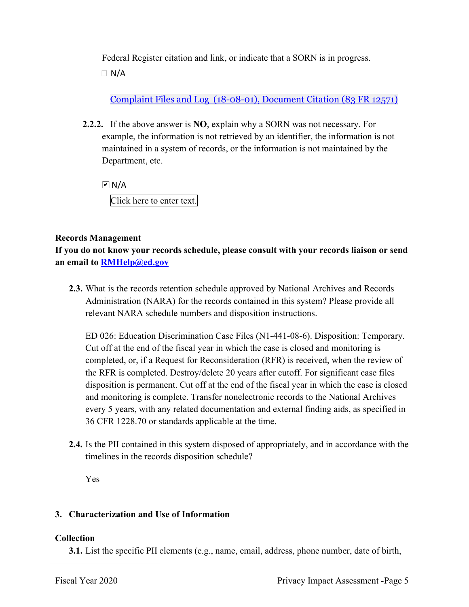Federal Register citation and link, or indicate that a SORN is in progress.

 $\Box$  N/A

Complaint Files and Log (18-08-01), Document Citation (83 FR 12571)

 **2.2.2.** If the above answer is **NO**, explain why a SORN was not necessary. For Department, etc. example, the information is not retrieved by an identifier, the information is not maintained in a system of records, or the information is not maintained by the

 $\overline{M}$  N/A Click here to enter text.

## **Records Management**

**If you do not know your records schedule, please consult with your records liaison or send an email to [RMHelp@ed.gov](mailto:RMHelp@ed.gov)** 

 relevant NARA schedule numbers and disposition instructions. **2.3.** What is the records retention schedule approved by National Archives and Records Administration (NARA) for the records contained in this system? Please provide all

 Cut off at the end of the fiscal year in which the case is closed and monitoring is disposition is permanent. Cut off at the end of the fiscal year in which the case is closed 36 CFR 1228.70 or standards applicable at the time. ED 026: Education Discrimination Case Files (N1-441-08-6). Disposition: Temporary. completed, or, if a Request for Reconsideration (RFR) is received, when the review of the RFR is completed. Destroy/delete 20 years after cutoff. For significant case files and monitoring is complete. Transfer nonelectronic records to the National Archives every 5 years, with any related documentation and external finding aids, as specified in

 timelines in the records disposition schedule? **2.4.** Is the PII contained in this system disposed of appropriately, and in accordance with the

Yes

## **3. Characterization and Use of Information**

## **Collection**

**3.1.** List the specific PII elements (e.g., name, email, address, phone number, date of birth,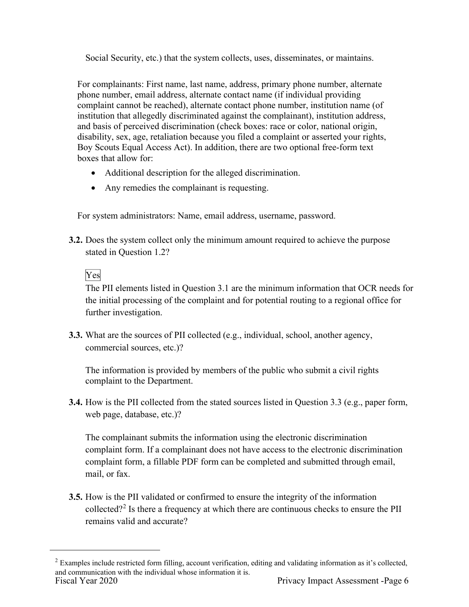Social Security, etc.) that the system collects, uses, disseminates, or maintains.

 For complainants: First name, last name, address, primary phone number, alternate boxes that allow for: phone number, email address, alternate contact name (if individual providing complaint cannot be reached), alternate contact phone number, institution name (of institution that allegedly discriminated against the complainant), institution address, and basis of perceived discrimination (check boxes: race or color, national origin, disability, sex, age, retaliation because you filed a complaint or asserted your rights, Boy Scouts Equal Access Act). In addition, there are two optional free-form text

- Additional description for the alleged discrimination.
- Any remedies the complainant is requesting.

For system administrators: Name, email address, username, password.

 **3.2.** Does the system collect only the minimum amount required to achieve the purpose stated in Question 1.2?

## Yes

 The PII elements listed in Question 3.1 are the minimum information that OCR needs for the initial processing of the complaint and for potential routing to a regional office for further investigation.

 **3.3.** What are the sources of PII collected (e.g., individual, school, another agency, commercial sources, etc.)?

The information is provided by members of the public who submit a civil rights complaint to the Department.

 **3.4.** How is the PII collected from the stated sources listed in Question 3.3 (e.g., paper form, web page, database, etc.)?

 The complainant submits the information using the electronic discrimination mail, or fax. complaint form. If a complainant does not have access to the electronic discrimination complaint form, a fillable PDF form can be completed and submitted through email,

 **3.5.** How is the PII validated or confirmed to ensure the integrity of the information collected?<sup>2</sup> Is there a frequency at which there are continuous checks to ensure the PII remains valid and accurate?

 $2$  Examples include restricted form filling, account verification, editing and validating information as it's collected, and communication with the individual whose information it is. Fiscal Year 2020 Privacy Impact Assessment -Page 6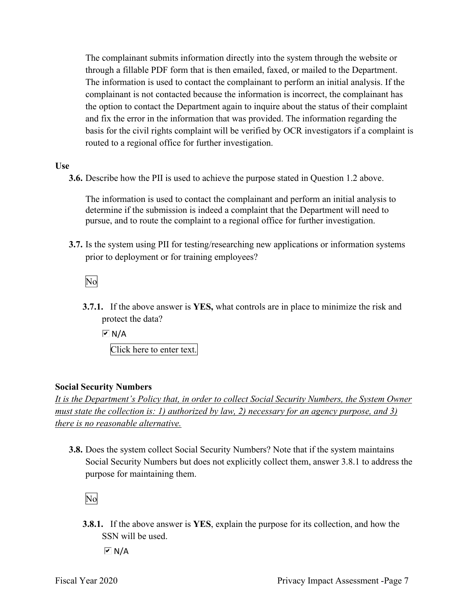The complainant submits information directly into the system through the website or through a fillable PDF form that is then emailed, faxed, or mailed to the Department. the option to contact the Department again to inquire about the status of their complaint and fix the error in the information that was provided. The information regarding the The information is used to contact the complainant to perform an initial analysis. If the complainant is not contacted because the information is incorrect, the complainant has basis for the civil rights complaint will be verified by OCR investigators if a complaint is routed to a regional office for further investigation.

**Use** 

**3.6.** Describe how the PII is used to achieve the purpose stated in Question 1.2 above.

 determine if the submission is indeed a complaint that the Department will need to pursue, and to route the complaint to a regional office for further investigation. The information is used to contact the complainant and perform an initial analysis to

 prior to deployment or for training employees? **3.7.** Is the system using PII for testing/researching new applications or information systems

No

 **3.7.1.** If the above answer is **YES,** what controls are in place to minimize the risk and protect the data?

 $\overline{M}$  N/A Click here to enter text.

#### **Social Security Numbers**

 *It is the Department's Policy that, in order to collect Social Security Numbers, the System Owner there is no reasonable alternative. must state the collection is: 1) authorized by law, 2) necessary for an agency purpose, and 3)* 

 Social Security Numbers but does not explicitly collect them, answer 3.8.1 to address the purpose for maintaining them. **3.8.** Does the system collect Social Security Numbers? Note that if the system maintains

No

 SSN will be used. **3.8.1.** If the above answer is **YES**, explain the purpose for its collection, and how the

 $\overline{M}$  N/A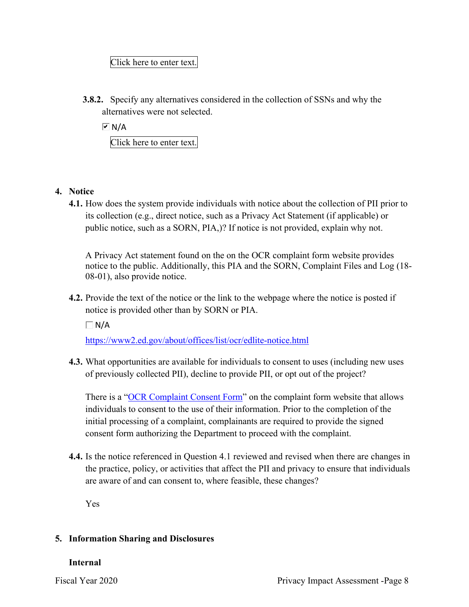## Click here to enter text.

 **3.8.2.** Specify any alternatives considered in the collection of SSNs and why the alternatives were not selected.

 $\overline{M}$  N/A Click here to enter text.

#### **4. Notice**

 **4.1.** How does the system provide individuals with notice about the collection of PII prior to public notice, such as a SORN, PIA,)? If notice is not provided, explain why not. its collection (e.g., direct notice, such as a Privacy Act Statement (if applicable) or

 A Privacy Act statement found on the on the OCR complaint form website provides notice to the public. Additionally, this PIA and the SORN, Complaint Files and Log (18- 08-01), also provide notice.

 notice is provided other than by SORN or PIA. **4.2.** Provide the text of the notice or the link to the webpage where the notice is posted if

 $\Box$  N/A

<https://www2.ed.gov/about/offices/list/ocr/edlite-notice.html>

 **4.3.** What opportunities are available for individuals to consent to uses (including new uses of previously collected PII), decline to provide PII, or opt out of the project?

 individuals to consent to the use of their information. Prior to the completion of the initial processing of a complaint, complainants are required to provide the signed consent form authorizing the Department to proceed with the complaint. There is a "OCR Complaint Consent Form" on the complaint form website that allows

 are aware of and can consent to, where feasible, these changes? **4.4.** Is the notice referenced in Question 4.1 reviewed and revised when there are changes in the practice, policy, or activities that affect the PII and privacy to ensure that individuals

Yes

## **5. Information Sharing and Disclosures**

#### **Internal**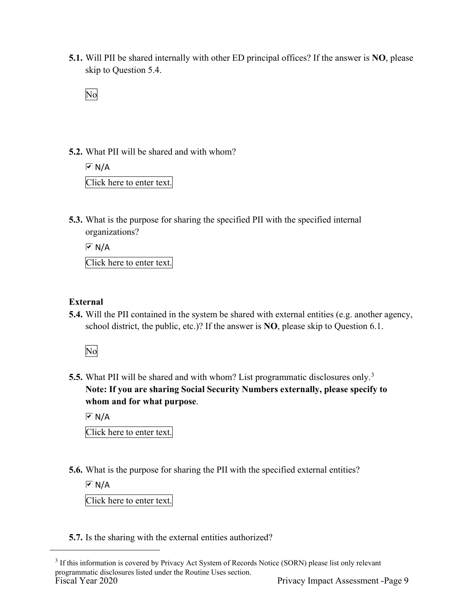**5.1.** Will PII be shared internally with other ED principal offices? If the answer is **NO**, please skip to Question 5.4.

No

**5.2.** What PII will be shared and with whom?

 $\overline{M}$  N/A Click here to enter text.

 **5.3.** What is the purpose for sharing the specified PII with the specified internal organizations?

 $\overline{M}$  N/A

Click here to enter text.

## **External**

 **5.4.** Will the PII contained in the system be shared with external entities (e.g. another agency, school district, the public, etc.)? If the answer is **NO**, please skip to Question 6.1.

No

 **Note: If you are sharing Social Security Numbers externally, please specify to whom and for what purpose**. **5.5.** What PII will be shared and with whom? List programmatic disclosures only.<sup>3</sup>

 $\overline{M}$  N/A

Click here to enter text.

**5.6.** What is the purpose for sharing the PII with the specified external entities?

 $\overline{M}$  N/A

Click here to enter text.

**5.7.** Is the sharing with the external entities authorized?

 $3$  If this information is covered by Privacy Act System of Records Notice (SORN) please list only relevant programmatic disclosures listed under the Routine Uses section. Fiscal Year 2020 Privacy Impact Assessment -Page 9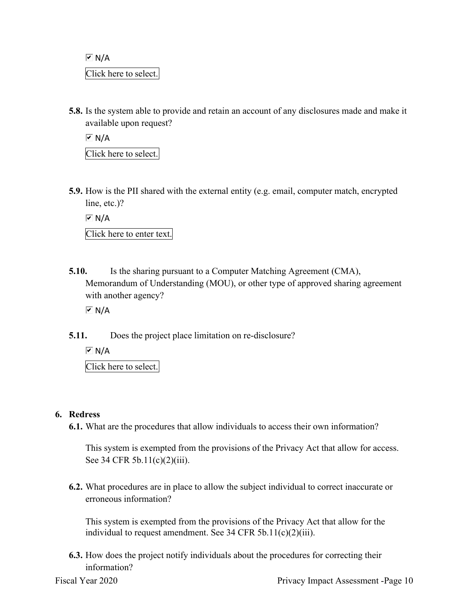$\overline{M}$  N/A Click here to select.

 **5.8.** Is the system able to provide and retain an account of any disclosures made and make it available upon request?

 $\overline{\triangleright}$  N/A

Click here to select.

 **5.9.** How is the PII shared with the external entity (e.g. email, computer match, encrypted line, etc.)?

 $\overline{M}$  N/A

Click here to enter text.

**5.10.** Is the sharing pursuant to a Computer Matching Agreement (CMA), with another agency? Memorandum of Understanding (MOU), or other type of approved sharing agreement

 $\overline{M}$  N/A

**5.11.** Does the project place limitation on re-disclosure?

 $\boxed{\mathsf{M}}$  N/A

Click here to select.

#### **6. Redress**

**6.1.** What are the procedures that allow individuals to access their own information?

 This system is exempted from the provisions of the Privacy Act that allow for access. See 34 CFR 5b.11(c)(2)(iii).

 **6.2.** What procedures are in place to allow the subject individual to correct inaccurate or erroneous information?

This system is exempted from the provisions of the Privacy Act that allow for the individual to request amendment. See 34 CFR 5b.11 $(c)(2)(iii)$ .

**6.3.** How does the project notify individuals about the procedures for correcting their information?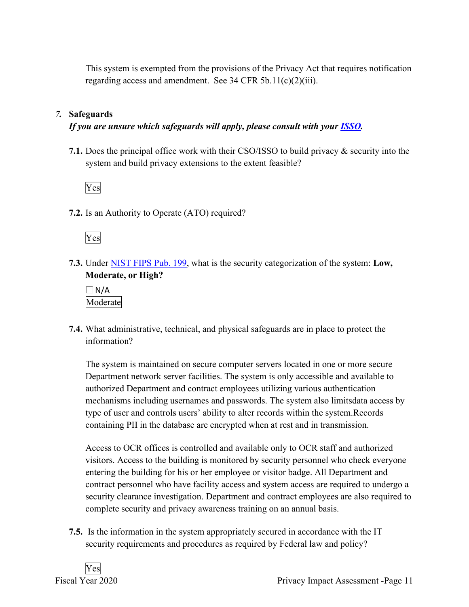This system is exempted from the provisions of the Privacy Act that requires notification regarding access and amendment. See 34 CFR 5b.11(c)(2)(iii).

## *7.* **Safeguards**

## *If you are unsure which safeguards will apply, please consult with your ISSO.*

 **7.1.** Does the principal office work with their CSO/ISSO to build privacy & security into the system and build privacy extensions to the extent feasible?



**7.2.** Is an Authority to Operate (ATO) required?



 **Moderate, or High? 7.3.** Under NIST FIPS Pub. 199, what is the security categorization of the system: **Low,** 

 $\Box$  N/A Moderate

 **7.4.** What administrative, technical, and physical safeguards are in place to protect the information?

 The system is maintained on secure computer servers located in one or more secure type of user and controls users' ability to alter records within the system.Records containing PII in the database are encrypted when at rest and in transmission. Department network server facilities. The system is only accessible and available to authorized Department and contract employees utilizing various authentication mechanisms including usernames and passwords. The system also limitsdata access by

 entering the building for his or her employee or visitor badge. All Department and contract personnel who have facility access and system access are required to undergo a complete security and privacy awareness training on an annual basis. Access to OCR offices is controlled and available only to OCR staff and authorized visitors. Access to the building is monitored by security personnel who check everyone security clearance investigation. Department and contract employees are also required to

 security requirements and procedures as required by Federal law and policy? **7.5.** Is the information in the system appropriately secured in accordance with the IT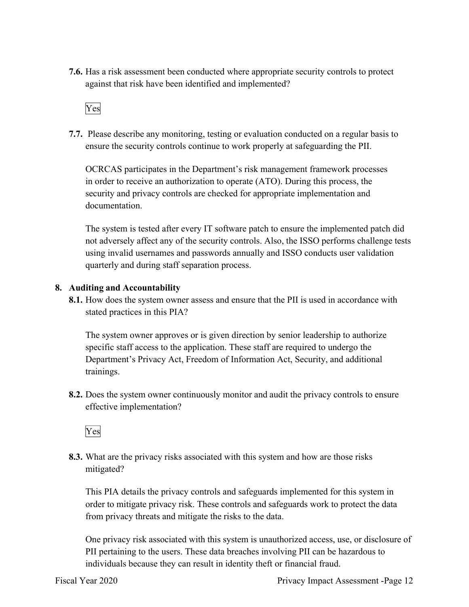**7.6.** Has a risk assessment been conducted where appropriate security controls to protect against that risk have been identified and implemented?

Yes

 **7.7.** Please describe any monitoring, testing or evaluation conducted on a regular basis to ensure the security controls continue to work properly at safeguarding the PII.

 OCRCAS participates in the Department's risk management framework processes in order to receive an authorization to operate (ATO). During this process, the security and privacy controls are checked for appropriate implementation and documentation.

 not adversely affect any of the security controls. Also, the ISSO performs challenge tests The system is tested after every IT software patch to ensure the implemented patch did using invalid usernames and passwords annually and ISSO conducts user validation quarterly and during staff separation process.

## **8. Auditing and Accountability**

 **8.1.** How does the system owner assess and ensure that the PII is used in accordance with stated practices in this PIA?

 Department's Privacy Act, Freedom of Information Act, Security, and additional The system owner approves or is given direction by senior leadership to authorize specific staff access to the application. These staff are required to undergo the trainings.

 **8.2.** Does the system owner continuously monitor and audit the privacy controls to ensure effective implementation?

Yes

**8.3.** What are the privacy risks associated with this system and how are those risks mitigated?

 This PIA details the privacy controls and safeguards implemented for this system in order to mitigate privacy risk. These controls and safeguards work to protect the data from privacy threats and mitigate the risks to the data.

 One privacy risk associated with this system is unauthorized access, use, or disclosure of individuals because they can result in identity theft or financial fraud. PII pertaining to the users. These data breaches involving PII can be hazardous to

Fiscal Year 2020 Privacy Impact Assessment -Page 12